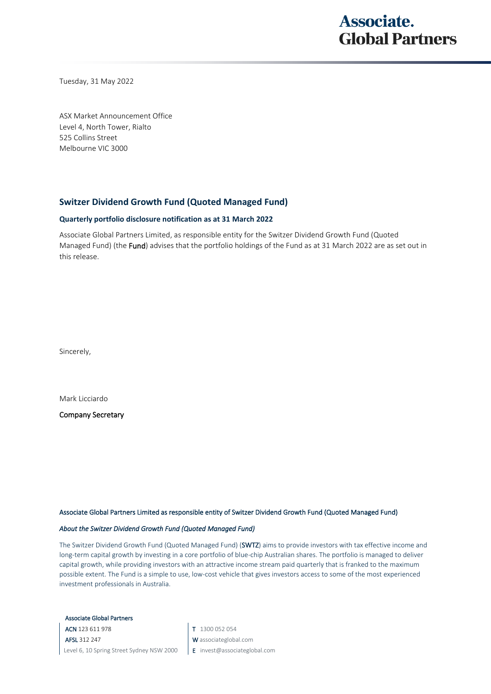## **Associate. Global Partners**

Tuesday, 31 May 2022

ASX Market Announcement Office Level 4, North Tower, Rialto 525 Collins Street Melbourne VIC 3000

### **Switzer Dividend Growth Fund (Quoted Managed Fund)**

#### **Quarterly portfolio disclosure notification as at 31 March 2022**

Associate Global Partners Limited, as responsible entity for the Switzer Dividend Growth Fund (Quoted Managed Fund) (the Fund) advises that the portfolio holdings of the Fund as at 31 March 2022 are as set out in this release.

Sincerely,

Mark Licciardo

Company Secretary

#### Associate Global Partners Limited as responsible entity of Switzer Dividend Growth Fund (Quoted Managed Fund)

#### *About the Switzer Dividend Growth Fund (Quoted Managed Fund)*

The Switzer Dividend Growth Fund (Quoted Managed Fund) (SWTZ) aims to provide investors with tax effective income and long-term capital growth by investing in a core portfolio of blue-chip Australian shares. The portfolio is managed to deliver capital growth, while providing investors with an attractive income stream paid quarterly that is franked to the maximum possible extent. The Fund is a simple to use, low-cost vehicle that gives investors access to some of the most experienced investment professionals in Australia.

Associate Global Partners

ACN 123 611 978 AFSL 312 247 Level 6, 10 Spring Street Sydney NSW 2000 T 1300 052 054

- W associateglobal.com
- E invest@associateglobal.com